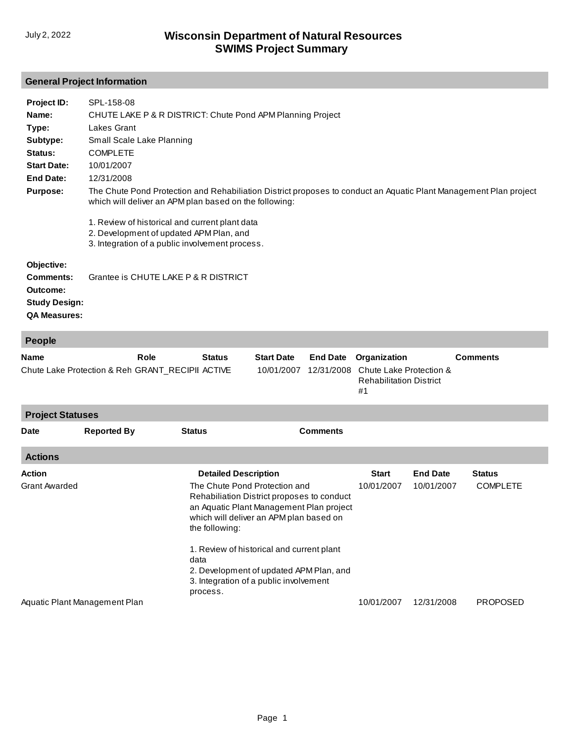## **General Project Information**

| Project ID:          | SPL-158-08                                                                                                                                                                  |
|----------------------|-----------------------------------------------------------------------------------------------------------------------------------------------------------------------------|
| Name:                | CHUTE LAKE P & R DISTRICT: Chute Pond APM Planning Project                                                                                                                  |
| Type:                | Lakes Grant                                                                                                                                                                 |
| Subtype:             | Small Scale Lake Planning                                                                                                                                                   |
| Status:              | <b>COMPLETE</b>                                                                                                                                                             |
| <b>Start Date:</b>   | 10/01/2007                                                                                                                                                                  |
| End Date:            | 12/31/2008                                                                                                                                                                  |
| <b>Purpose:</b>      | The Chute Pond Protection and Rehabiliation District proposes to conduct an Aquatic Plant Management Plan project<br>which will deliver an APM plan based on the following: |
|                      | 1. Review of historical and current plant data<br>2. Development of updated APM Plan, and<br>3. Integration of a public involvement process.                                |
| Objective:           |                                                                                                                                                                             |
| Comments:            | Grantee is CHUTE LAKE P & R DISTRICT                                                                                                                                        |
| Outcome:             |                                                                                                                                                                             |
| <b>Study Design:</b> |                                                                                                                                                                             |
| <b>QA Measures:</b>  |                                                                                                                                                                             |
|                      |                                                                                                                                                                             |
| <b>People</b>        |                                                                                                                                                                             |

| <b>Name</b><br>Chute Lake Protection & Reh GRANT_RECIPII ACTIVE |                               | Role          | <b>Status</b>                                                                                                                                                                                                                                                                                                                      | <b>Start Date</b><br>10/01/2007 | <b>End Date</b><br>12/31/2008 | Organization<br>Chute Lake Protection &<br><b>Rehabilitation District</b><br>#1 |                 | <b>Comments</b> |  |  |  |
|-----------------------------------------------------------------|-------------------------------|---------------|------------------------------------------------------------------------------------------------------------------------------------------------------------------------------------------------------------------------------------------------------------------------------------------------------------------------------------|---------------------------------|-------------------------------|---------------------------------------------------------------------------------|-----------------|-----------------|--|--|--|
| <b>Project Statuses</b>                                         |                               |               |                                                                                                                                                                                                                                                                                                                                    |                                 |                               |                                                                                 |                 |                 |  |  |  |
| <b>Date</b>                                                     | <b>Reported By</b>            | <b>Status</b> |                                                                                                                                                                                                                                                                                                                                    |                                 | <b>Comments</b>               |                                                                                 |                 |                 |  |  |  |
| <b>Actions</b>                                                  |                               |               |                                                                                                                                                                                                                                                                                                                                    |                                 |                               |                                                                                 |                 |                 |  |  |  |
| Action                                                          |                               |               | <b>Detailed Description</b>                                                                                                                                                                                                                                                                                                        |                                 |                               | <b>Start</b>                                                                    | <b>End Date</b> | <b>Status</b>   |  |  |  |
| <b>Grant Awarded</b>                                            |                               |               | The Chute Pond Protection and<br>Rehabiliation District proposes to conduct<br>an Aquatic Plant Management Plan project<br>which will deliver an APM plan based on<br>the following:<br>1. Review of historical and current plant<br>2. Development of updated APM Plan, and<br>3. Integration of a public involvement<br>process. |                                 |                               | 10/01/2007                                                                      | 10/01/2007      | <b>COMPLETE</b> |  |  |  |
|                                                                 |                               | data          |                                                                                                                                                                                                                                                                                                                                    |                                 |                               |                                                                                 |                 |                 |  |  |  |
|                                                                 | Aquatic Plant Management Plan |               |                                                                                                                                                                                                                                                                                                                                    |                                 |                               | 10/01/2007                                                                      | 12/31/2008      | <b>PROPOSED</b> |  |  |  |